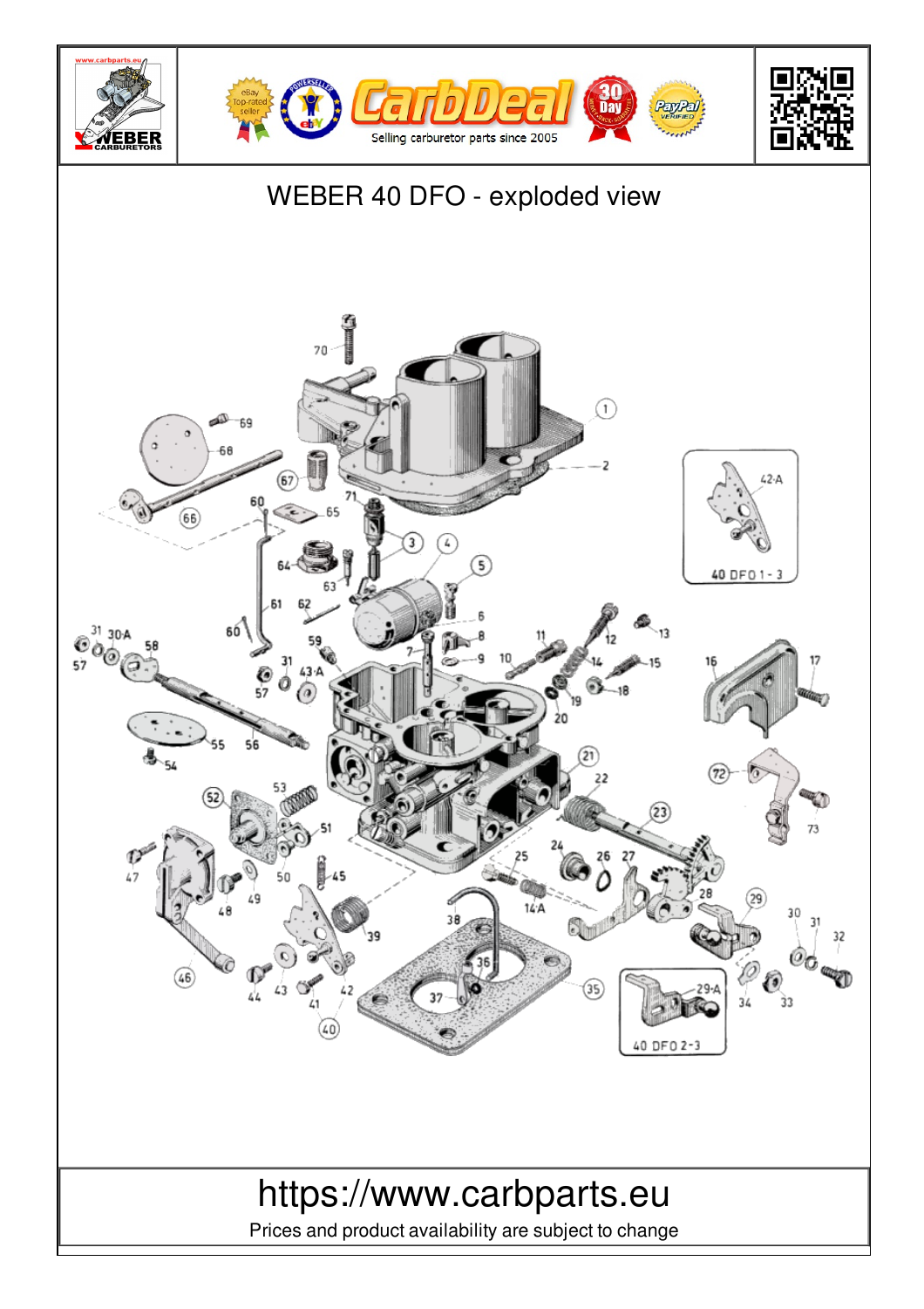